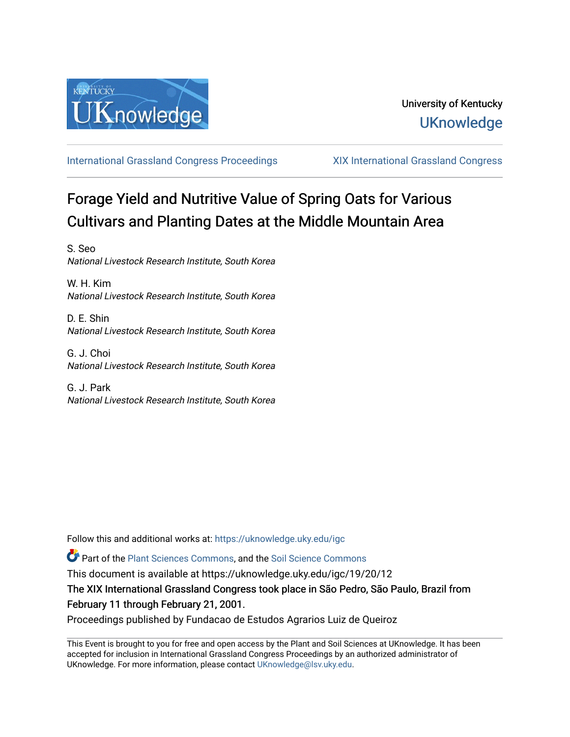

[International Grassland Congress Proceedings](https://uknowledge.uky.edu/igc) [XIX International Grassland Congress](https://uknowledge.uky.edu/igc/19) 

## Forage Yield and Nutritive Value of Spring Oats for Various Cultivars and Planting Dates at the Middle Mountain Area

S. Seo National Livestock Research Institute, South Korea

W. H. Kim National Livestock Research Institute, South Korea

D. E. Shin National Livestock Research Institute, South Korea

G. J. Choi National Livestock Research Institute, South Korea

G. J. Park National Livestock Research Institute, South Korea

Follow this and additional works at: [https://uknowledge.uky.edu/igc](https://uknowledge.uky.edu/igc?utm_source=uknowledge.uky.edu%2Figc%2F19%2F20%2F12&utm_medium=PDF&utm_campaign=PDFCoverPages) 

Part of the [Plant Sciences Commons](http://network.bepress.com/hgg/discipline/102?utm_source=uknowledge.uky.edu%2Figc%2F19%2F20%2F12&utm_medium=PDF&utm_campaign=PDFCoverPages), and the [Soil Science Commons](http://network.bepress.com/hgg/discipline/163?utm_source=uknowledge.uky.edu%2Figc%2F19%2F20%2F12&utm_medium=PDF&utm_campaign=PDFCoverPages) 

This document is available at https://uknowledge.uky.edu/igc/19/20/12

The XIX International Grassland Congress took place in São Pedro, São Paulo, Brazil from February 11 through February 21, 2001.

Proceedings published by Fundacao de Estudos Agrarios Luiz de Queiroz

This Event is brought to you for free and open access by the Plant and Soil Sciences at UKnowledge. It has been accepted for inclusion in International Grassland Congress Proceedings by an authorized administrator of UKnowledge. For more information, please contact [UKnowledge@lsv.uky.edu](mailto:UKnowledge@lsv.uky.edu).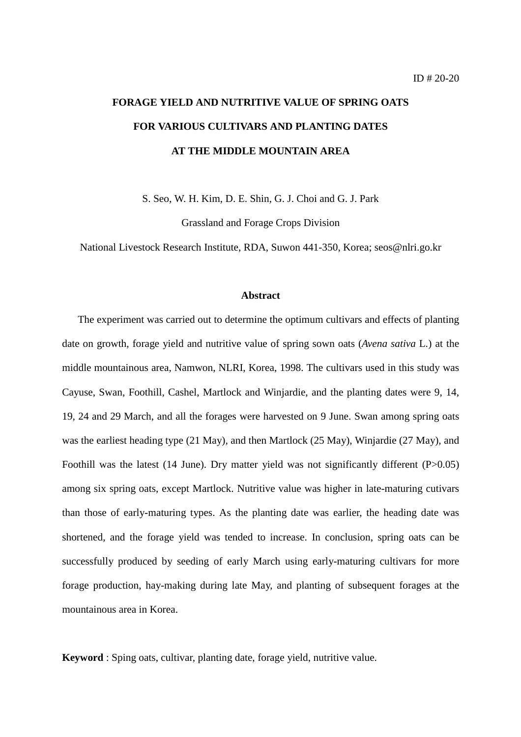# **FORAGE YIELD AND NUTRITIVE VALUE OF SPRING OATS FOR VARIOUS CULTIVARS AND PLANTING DATES AT THE MIDDLE MOUNTAIN AREA**

S. Seo, W. H. Kim, D. E. Shin, G. J. Choi and G. J. Park

Grassland and Forage Crops Division

National Livestock Research Institute, RDA, Suwon 441-350, Korea; seos@nlri.go.kr

### **Abstract**

 The experiment was carried out to determine the optimum cultivars and effects of planting date on growth, forage yield and nutritive value of spring sown oats (*Avena sativa* L.) at the middle mountainous area, Namwon, NLRI, Korea, 1998. The cultivars used in this study was Cayuse, Swan, Foothill, Cashel, Martlock and Winjardie, and the planting dates were 9, 14, 19, 24 and 29 March, and all the forages were harvested on 9 June. Swan among spring oats was the earliest heading type (21 May), and then Martlock (25 May), Winjardie (27 May), and Foothill was the latest (14 June). Dry matter yield was not significantly different (P>0.05) among six spring oats, except Martlock. Nutritive value was higher in late-maturing cutivars than those of early-maturing types. As the planting date was earlier, the heading date was shortened, and the forage yield was tended to increase. In conclusion, spring oats can be successfully produced by seeding of early March using early-maturing cultivars for more forage production, hay-making during late May, and planting of subsequent forages at the mountainous area in Korea.

**Keyword** : Sping oats, cultivar, planting date, forage yield, nutritive value.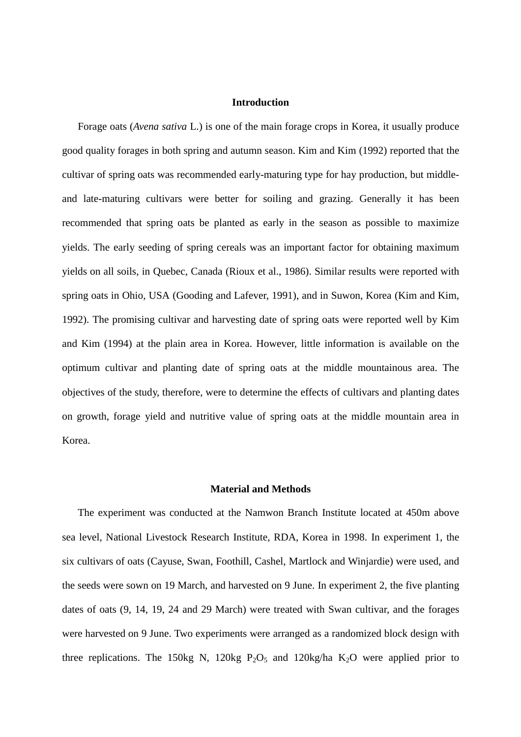## **Introduction**

 Forage oats (*Avena sativa* L.) is one of the main forage crops in Korea, it usually produce good quality forages in both spring and autumn season. Kim and Kim (1992) reported that the cultivar of spring oats was recommended early-maturing type for hay production, but middleand late-maturing cultivars were better for soiling and grazing. Generally it has been recommended that spring oats be planted as early in the season as possible to maximize yields. The early seeding of spring cereals was an important factor for obtaining maximum yields on all soils, in Quebec, Canada (Rioux et al., 1986). Similar results were reported with spring oats in Ohio, USA (Gooding and Lafever, 1991), and in Suwon, Korea (Kim and Kim, 1992). The promising cultivar and harvesting date of spring oats were reported well by Kim and Kim (1994) at the plain area in Korea. However, little information is available on the optimum cultivar and planting date of spring oats at the middle mountainous area. The objectives of the study, therefore, were to determine the effects of cultivars and planting dates on growth, forage yield and nutritive value of spring oats at the middle mountain area in Korea.

#### **Material and Methods**

 The experiment was conducted at the Namwon Branch Institute located at 450m above sea level, National Livestock Research Institute, RDA, Korea in 1998. In experiment 1, the six cultivars of oats (Cayuse, Swan, Foothill, Cashel, Martlock and Winjardie) were used, and the seeds were sown on 19 March, and harvested on 9 June. In experiment 2, the five planting dates of oats (9, 14, 19, 24 and 29 March) were treated with Swan cultivar, and the forages were harvested on 9 June. Two experiments were arranged as a randomized block design with three replications. The 150kg N, 120kg  $P_2O_5$  and 120kg/ha  $K_2O$  were applied prior to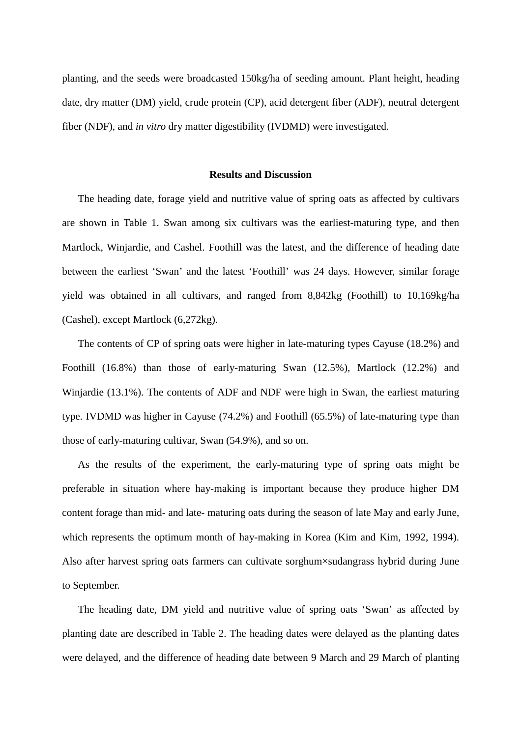planting, and the seeds were broadcasted 150kg/ha of seeding amount. Plant height, heading date, dry matter (DM) yield, crude protein (CP), acid detergent fiber (ADF), neutral detergent fiber (NDF), and *in vitro* dry matter digestibility (IVDMD) were investigated.

#### **Results and Discussion**

 The heading date, forage yield and nutritive value of spring oats as affected by cultivars are shown in Table 1. Swan among six cultivars was the earliest-maturing type, and then Martlock, Winjardie, and Cashel. Foothill was the latest, and the difference of heading date between the earliest 'Swan' and the latest 'Foothill' was 24 days. However, similar forage yield was obtained in all cultivars, and ranged from 8,842kg (Foothill) to 10,169kg/ha (Cashel), except Martlock (6,272kg).

 The contents of CP of spring oats were higher in late-maturing types Cayuse (18.2%) and Foothill (16.8%) than those of early-maturing Swan (12.5%), Martlock (12.2%) and Winjardie (13.1%). The contents of ADF and NDF were high in Swan, the earliest maturing type. IVDMD was higher in Cayuse (74.2%) and Foothill (65.5%) of late-maturing type than those of early-maturing cultivar, Swan (54.9%), and so on.

 As the results of the experiment, the early-maturing type of spring oats might be preferable in situation where hay-making is important because they produce higher DM content forage than mid- and late- maturing oats during the season of late May and early June, which represents the optimum month of hay-making in Korea (Kim and Kim, 1992, 1994). Also after harvest spring oats farmers can cultivate sorghum×sudangrass hybrid during June to September.

 The heading date, DM yield and nutritive value of spring oats 'Swan' as affected by planting date are described in Table 2. The heading dates were delayed as the planting dates were delayed, and the difference of heading date between 9 March and 29 March of planting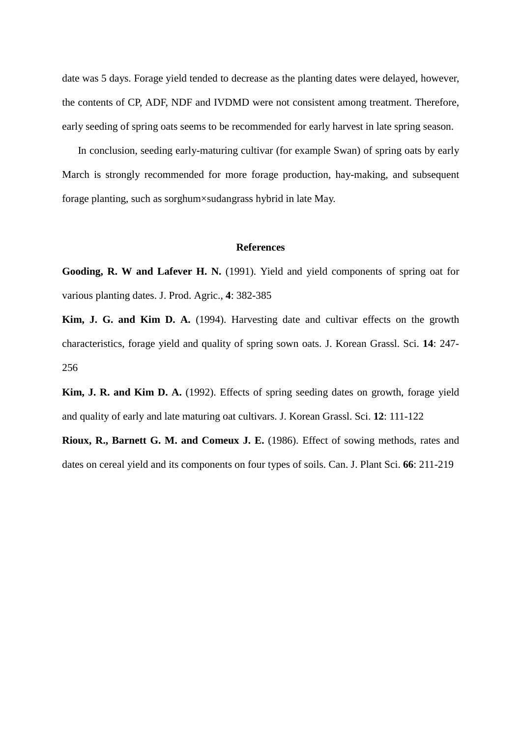date was 5 days. Forage yield tended to decrease as the planting dates were delayed, however, the contents of CP, ADF, NDF and IVDMD were not consistent among treatment. Therefore, early seeding of spring oats seems to be recommended for early harvest in late spring season.

 In conclusion, seeding early-maturing cultivar (for example Swan) of spring oats by early March is strongly recommended for more forage production, hay-making, and subsequent forage planting, such as sorghum×sudangrass hybrid in late May.

### **References**

**Gooding, R. W and Lafever H. N.** (1991). Yield and yield components of spring oat for various planting dates. J. Prod. Agric., **4**: 382-385

**Kim, J. G. and Kim D. A.** (1994). Harvesting date and cultivar effects on the growth characteristics, forage yield and quality of spring sown oats. J. Korean Grassl. Sci. **14**: 247- 256

**Kim, J. R. and Kim D. A.** (1992). Effects of spring seeding dates on growth, forage yield and quality of early and late maturing oat cultivars. J. Korean Grassl. Sci. **12**: 111-122

**Rioux, R., Barnett G. M. and Comeux J. E.** (1986). Effect of sowing methods, rates and dates on cereal yield and its components on four types of soils. Can. J. Plant Sci. **66**: 211-219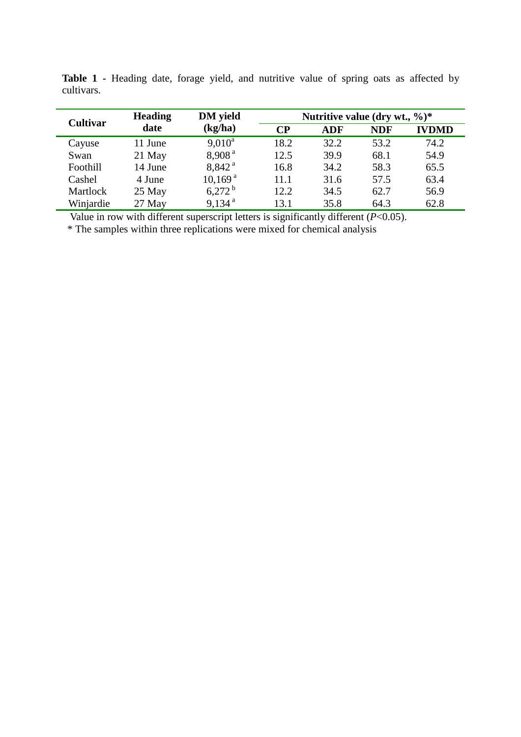| <b>Cultivar</b> | <b>Heading</b><br>date | <b>DM</b> yield<br>(kg/ha) | Nutritive value (dry wt., $\%$ )* |      |            |              |
|-----------------|------------------------|----------------------------|-----------------------------------|------|------------|--------------|
|                 |                        |                            | $\bf CP$                          | ADF  | <b>NDF</b> | <b>IVDMD</b> |
| Cayuse          | 11 June                | $9,010^a$                  | 18.2                              | 32.2 | 53.2       | 74.2         |
| Swan            | $21$ May               | 8,908 <sup>a</sup>         | 12.5                              | 39.9 | 68.1       | 54.9         |
| Foothill        | 14 June                | 8,842 <sup>a</sup>         | 16.8                              | 34.2 | 58.3       | 65.5         |
| Cashel          | 4 June                 | $10,169^{\text{ a}}$       | 11.1                              | 31.6 | 57.5       | 63.4         |
| Martlock        | 25 May                 | $6,272^{\mathrm{b}}$       | 12.2                              | 34.5 | 62.7       | 56.9         |
| Winjardie       | 27 May                 | $9,134$ <sup>a</sup>       | 13.1                              | 35.8 | 64.3       | 62.8         |

**Table 1 -** Heading date, forage yield, and nutritive value of spring oats as affected by cultivars.

Value in row with different superscript letters is significantly different (*P*<0.05).

\* The samples within three replications were mixed for chemical analysis